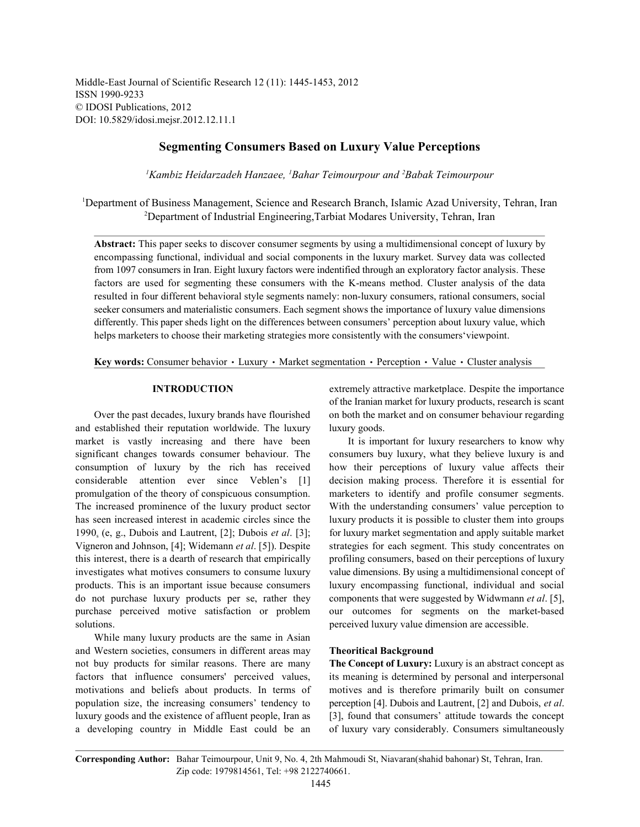Middle-East Journal of Scientific Research 12 (11): 1445-1453, 2012 ISSN 1990-9233 © IDOSI Publications, 2012 DOI: 10.5829/idosi.mejsr.2012.12.11.1

# **Segmenting Consumers Based on Luxury Value Perceptions**

<sup>1</sup> Kambiz Heidarzadeh Hanzaee, <sup>1</sup> Bahar Teimourpour and <sup>2</sup> Babak Teimourpour

<sup>1</sup>Department of Business Management, Science and Research Branch, Islamic Azad University, Tehran, Iran <sup>2</sup>Department of Industrial Engineering, Tarbiat Modares University, Tehran, Iran

**Abstract:** This paper seeks to discover consumer segments by using a multidimensional concept of luxury by encompassing functional, individual and social components in the luxury market. Survey data was collected from 1097 consumers in Iran. Eight luxury factors were indentified through an exploratory factor analysis. These factors are used for segmenting these consumers with the K-means method. Cluster analysis of the data resulted in four different behavioral style segments namely: non-luxury consumers, rational consumers, social seeker consumers and materialistic consumers. Each segment shows the importance of luxury value dimensions differently. This paper sheds light on the differences between consumers' perception about luxury value, which helps marketers to choose their marketing strategies more consistently with the consumers'viewpoint.

Key words: Consumer behavior · Luxury · Market segmentation · Perception · Value · Cluster analysis

and established their reputation worldwide. The luxury luxury goods. market is vastly increasing and there have been It is important for luxury researchers to know why significant changes towards consumer behaviour. The consumers buy luxury, what they believe luxury is and consumption of luxury by the rich has received how their perceptions of luxury value affects their considerable attention ever since Veblen's [1] decision making process. Therefore it is essential for promulgation of the theory of conspicuous consumption. marketers to identify and profile consumer segments. The increased prominence of the luxury product sector With the understanding consumers' value perception to has seen increased interest in academic circles since the luxury products it is possible to cluster them into groups 1990 (e, g., Dubois and Lautrent, [2]; Dubois *et al*. [3]; for luxury market segmentation and apply suitable market <sup>s</sup> Vigneron and Johnson, [4]; Widemann *et al*. [5]). Despite strategies for each segment. This study concentrates on this interest, there is a dearth of research that empirically profiling consumers, based on their perceptions of luxury investigates what motives consumers to consume luxury value dimensions. By using a multidimensional concept of products. This is an important issue because consumers luxury encompassing functional, individual and social do not purchase luxury products per se, rather they components that were suggested by Widwmann *et al*. [5], purchase perceived motive satisfaction or problem our outcomes for segments on the market-based solutions. **perceived luxury value dimension are accessible.** 

While many luxury products are the same in Asian and Western societies, consumers in different areas may **Theoritical Background** not buy products for similar reasons. There are many **The Concept of Luxury:** Luxury is an abstract concept as factors that influence consumers' perceived values, its meaning is determined by personal and interpersonal motivations and beliefs about products. In terms of motives and is therefore primarily built on consumer population size, the increasing consumers' tendency to perception [4]. Dubois and Lautrent, [2] and Dubois, *et al*. luxury goods and the existence of affluent people, Iran as [3], found that consumers' attitude towards the concept a developing country in Middle East could be an of luxury vary considerably. Consumers simultaneously

**INTRODUCTION** extremely attractive marketplace. Despite the importance Over the past decades, luxury brands have flourished on both the market and on consumer behaviour regarding of the Iranian market for luxury products, research is scant

**Corresponding Author:** Bahar Teimourpour, Unit 9, No. 4, 2th Mahmoudi St, Niavaran(shahid bahonar) St, Tehran, Iran. Zip code: 1979814561, Tel: +98 2122740661.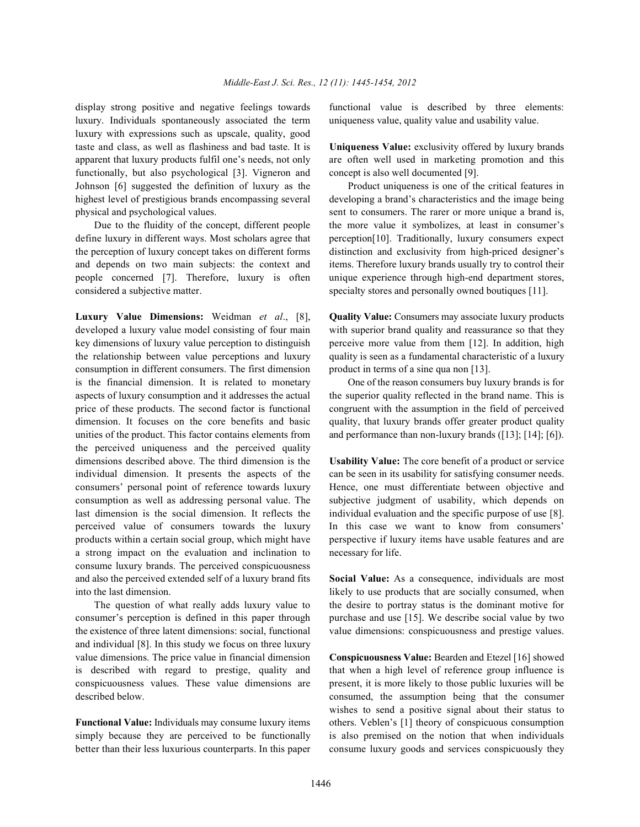luxury. Individuals spontaneously associated the term uniqueness value, quality value and usability value. luxury with expressions such as upscale, quality, good taste and class, as well as flashiness and bad taste. It is **Uniqueness Value:** exclusivity offered by luxury brands apparent that luxury products fulfil one's needs, not only are often well used in marketing promotion and this functionally, but also psychological [3]. Vigneron and concept is also well documented [9]. Johnson [6] suggested the definition of luxury as the Product uniqueness is one of the critical features in highest level of prestigious brands encompassing several developing a brand's characteristics and the image being physical and psychological values. sent to consumers. The rarer or more unique a brand is,

define luxury in different ways. Most scholars agree that perception [10]. Traditionally, luxury consumers expect the perception of luxury concept takes on different forms distinction and exclusivity from high-priced designer's and depends on two main subjects: the context and items. Therefore luxury brands usually try to control their people concerned [7]. Therefore, luxury is often unique experience through high-end department stores, considered a subjective matter. specialty stores and personally owned boutiques [11].

developed a luxury value model consisting of four main with superior brand quality and reassurance so that they key dimensions of luxury value perception to distinguish perceive more value from them [12]. In addition, high the relationship between value perceptions and luxury quality is seen as a fundamental characteristic of a luxury consumption in different consumers. The first dimension product in terms of a sine qua non [13]. is the financial dimension. It is related to monetary One of the reason consumers buy luxury brands is for aspects of luxury consumption and it addresses the actual the superior quality reflected in the brand name. This is price of these products. The second factor is functional congruent with the assumption in the field of perceived dimension. It focuses on the core benefits and basic quality, that luxury brands offer greater product quality unities of the product. This factor contains elements from and performance than non-luxury brands ([13]; [14]; [6]). the perceived uniqueness and the perceived quality dimensions described above. The third dimension is the **Usability Value:** The core benefit of a product or service individual dimension. It presents the aspects of the can be seen in its usability for satisfying consumer needs. consumers' personal point of reference towards luxury Hence, one must differentiate between objective and consumption as well as addressing personal value. The subjective judgment of usability, which depends on last dimension is the social dimension. It reflects the individual evaluation and the specific purpose of use [8]. perceived value of consumers towards the luxury In this case we want to know from consumers' products within a certain social group, which might have perspective if luxury items have usable features and are a strong impact on the evaluation and inclination to necessary for life. consume luxury brands. The perceived conspicuousness and also the perceived extended self of a luxury brand fits **Social Value:** As a consequence, individuals are most

consumer's perception is defined in this paper through purchase and use [15]. We describe social value by two the existence of three latent dimensions: social, functional value dimensions: conspicuousness and prestige values. and individual [8]. In this study we focus on three luxury value dimensions. The price value in financial dimension **Conspicuousness Value:** Bearden and Etezel [16] showed is described with regard to prestige, quality and that when a high level of reference group influence is conspicuousness values. These value dimensions are present, it is more likely to those public luxuries will be described below. consumed, the assumption being that the consumer

simply because they are perceived to be functionally is also premised on the notion that when individuals better than their less luxurious counterparts. In this paper consume luxury goods and services conspicuously they

display strong positive and negative feelings towards functional value is described by three elements:

Due to the fluidity of the concept, different people the more value it symbolizes, at least in consumer's

**Luxury Value Dimensions:** Weidman *et al*., [8], **Quality Value:** Consumers may associate luxury products

into the last dimension. likely to use products that are socially consumed, when The question of what really adds luxury value to the desire to portray status is the dominant motive for

**Functional Value:** Individuals may consume luxury items others. Veblen's [1] theory of conspicuous consumption wishes to send a positive signal about their status to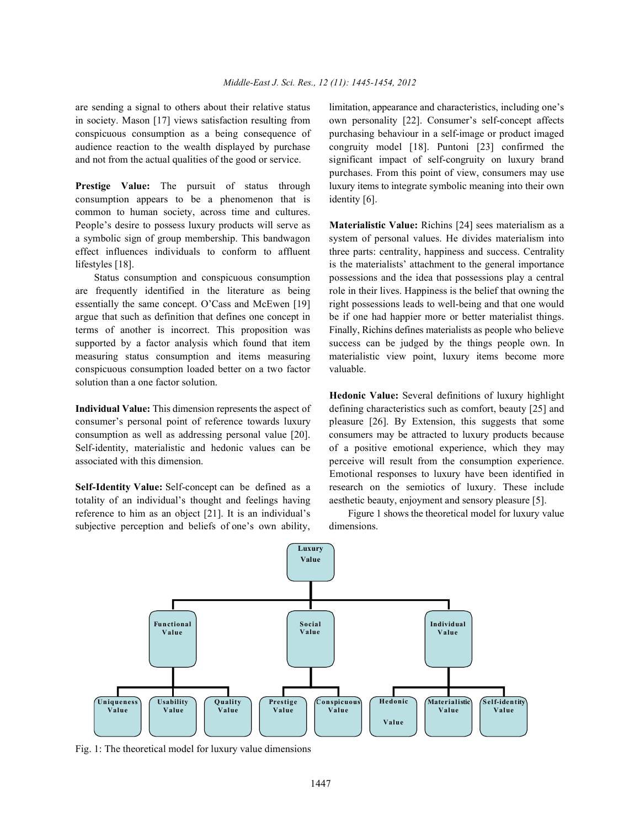in society. Mason [17] views satisfaction resulting from own personality [22]. Consumer's self-concept affects conspicuous consumption as a being consequence of purchasing behaviour in a self-image or product imaged audience reaction to the wealth displayed by purchase congruity model [18]. Puntoni [23] confirmed the and not from the actual qualities of the good or service. significant impact of self-congruity on luxury brand

consumption appears to be a phenomenon that is identity [6]. common to human society, across time and cultures. People's desire to possess luxury products will serve as **Materialistic Value:** Richins [24] sees materialism as a a symbolic sign of group membership. This bandwagon system of personal values. He divides materialism into effect influences individuals to conform to affluent three parts: centrality, happiness and success. Centrality lifestyles [18]. is the materialists' attachment to the general importance

are frequently identified in the literature as being role in their lives. Happiness is the belief that owning the essentially the same concept. O'Cass and McEwen [19] right possessions leads to well-being and that one would argue that such as definition that defines one concept in be if one had happier more or better materialist things. terms of another is incorrect. This proposition was Finally, Richins defines materialists as people who believe supported by a factor analysis which found that item success can be judged by the things people own. In measuring status consumption and items measuring materialistic view point, luxury items become more conspicuous consumption loaded better on a two factor valuable. solution than a one factor solution.

consumer's personal point of reference towards luxury pleasure [26]. By Extension, this suggests that some consumption as well as addressing personal value [20]. consumers may be attracted to luxury products because associated with this dimension. perceive will result from the consumption experience.

totality of an individual's thought and feelings having aesthetic beauty, enjoyment and sensory pleasure [5]. reference to him as an object [21]. It is an individual's Figure 1 shows the theoretical model for luxury value subjective perception and beliefs of one's own ability, dimensions.

are sending a signal to others about their relative status limitation, appearance and characteristics, including one's **Prestige Value:** The pursuit of status through luxury items to integrate symbolic meaning into their own purchases. From this point of view, consumers may use

Status consumption and conspicuous consumption possessions and the idea that possessions play a central

**Individual Value:** This dimension represents the aspect of defining characteristics such as comfort, beauty [25] and Self-identity, materialistic and hedonic values can be of a positive emotional experience, which they may **Self-Identity Value:** Self-concept can be defined as a research on the semiotics of luxury. These include **Hedonic Value:** Several definitions of luxury highlight Emotional responses to luxury have been identified in



Fig. 1: The theoretical model for luxury value dimensions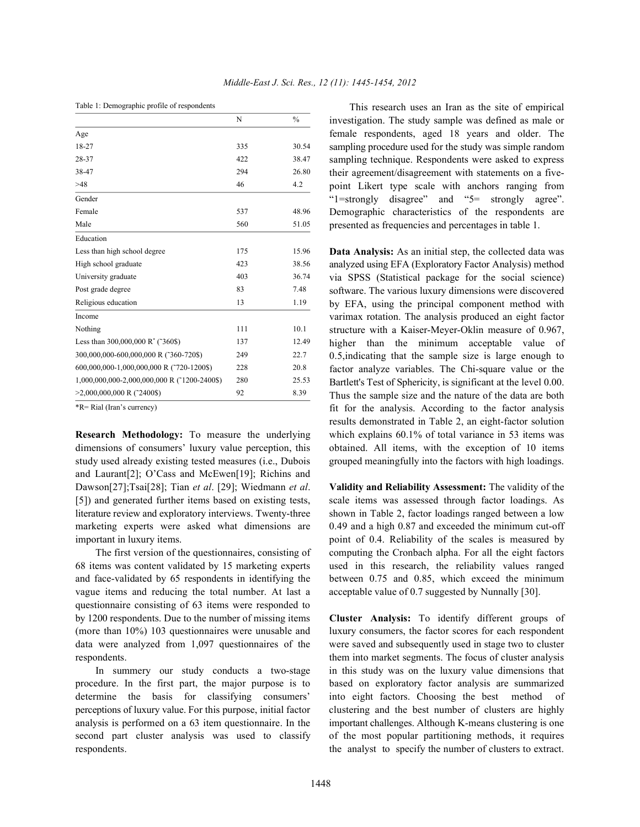|                                               | N   | $\frac{0}{0}$ |
|-----------------------------------------------|-----|---------------|
| Age                                           |     |               |
| 18-27                                         | 335 | 30.54         |
| 28-37                                         | 422 | 38.47         |
| 38-47                                         | 294 | 26.80         |
| >48                                           | 46  | 4.2           |
| Gender                                        |     |               |
| Female                                        | 537 | 48.96         |
| Male                                          | 560 | 51.05         |
| Education                                     |     |               |
| Less than high school degree                  | 175 | 15.96         |
| High school graduate                          | 423 | 38.56         |
| University graduate                           | 403 | 36.74         |
| Post grade degree                             | 83  | 7.48          |
| Religious education                           | 13  | 1.19          |
| Income                                        |     |               |
| Nothing                                       | 111 | 10.1          |
| Less than 300,000,000 R <sup>*</sup> (~360\$) | 137 | 12.49         |
| 300,000,000-600,000,000 R (~360-720\$)        | 249 | 22.7          |
| 600,000,000-1,000,000,000 R (~720-1200\$)     | 228 | 20.8          |
| 1,000,000,000-2,000,000,000 R (~1200-2400\$)  | 280 | 25.53         |
| $>2,000,000,000$ R (~2400\$)                  | 92  | 8.39          |

\*R= Rial (Iran's currency)

dimensions of consumers' luxury value perception, this obtained. All items, with the exception of 10 items study used already existing tested measures (i.e., Dubois grouped meaningfully into the factors with high loadings. and Laurant[2]; O'Cass and McEwen[19]; Richins and Dawson[27];Tsai[28]; Tian *et al*. [29]; Wiedmann *et al*. **Validity and Reliability Assessment:** The validity of the [5]) and generated further items based on existing tests, scale items was assessed through factor loadings. As literature review and exploratory interviews. Twenty-three shown in Table 2, factor loadings ranged between a low marketing experts were asked what dimensions are 0.49 and a high 0.87 and exceeded the minimum cut-off

68 items was content validated by 15 marketing experts used in this research, the reliability values ranged and face-validated by 65 respondents in identifying the between 0.75 and 0.85, which exceed the minimum vague items and reducing the total number. At last a acceptable value of 0.7 suggested by Nunnally [30]. questionnaire consisting of 63 items were responded to by 1200 respondents. Due to the number of missing items **Cluster Analysis:** To identify different groups of respondents. them into market segments. The focus of cluster analysis

second part cluster analysis was used to classify of the most popular partitioning methods, it requires respondents. the analyst to specify the number of clusters to extract.

This research uses an Iran as the site of empirical investigation. The study sample was defined as male or female respondents, aged 18 years and older. The sampling procedure used for the study was simple random sampling technique. Respondents were asked to express their agreement/disagreement with statements on a fivepoint Likert type scale with anchors ranging from "1=strongly disagree" and "5= strongly agree". Demographic characteristics of the respondents are presented as frequencies and percentages in table 1.

**Research Methodology:** To measure the underlying which explains 60.1% of total variance in 53 items was **Data Analysis:** As an initial step, the collected data was analyzed using EFA (Exploratory Factor Analysis) method via SPSS (Statistical package for the social science) software. The various luxury dimensions were discovered by EFA, using the principal component method with varimax rotation. The analysis produced an eight factor structure with a Kaiser-Meyer-Oklin measure of 0.967, higher than the minimum acceptable value of 0.5,indicating that the sample size is large enough to factor analyze variables. The Chi-square value or the Bartlett's Test of Sphericity, is significant at the level 0.00. Thus the sample size and the nature of the data are both fit for the analysis. According to the factor analysis results demonstrated in Table 2, an eight-factor solution

important in luxury items. point of 0.4. Reliability of the scales is measured by The first version of the questionnaires, consisting of computing the Cronbach alpha. For all the eight factors

(more than 10%) 103 questionnaires were unusable and luxury consumers, the factor scores for each respondent data were analyzed from 1,097 questionnaires of the were saved and subsequently used in stage two to cluster In summery our study conducts a two-stage in this study was on the luxury value dimensions that procedure. In the first part, the major purpose is to based on exploratory factor analysis are summarized determine the basis for classifying consumers' into eight factors. Choosing the best method of perceptions of luxury value. For this purpose, initial factor clustering and the best number of clusters are highly analysis is performed on a 63 item questionnaire. In the important challenges. Although K-means clustering is one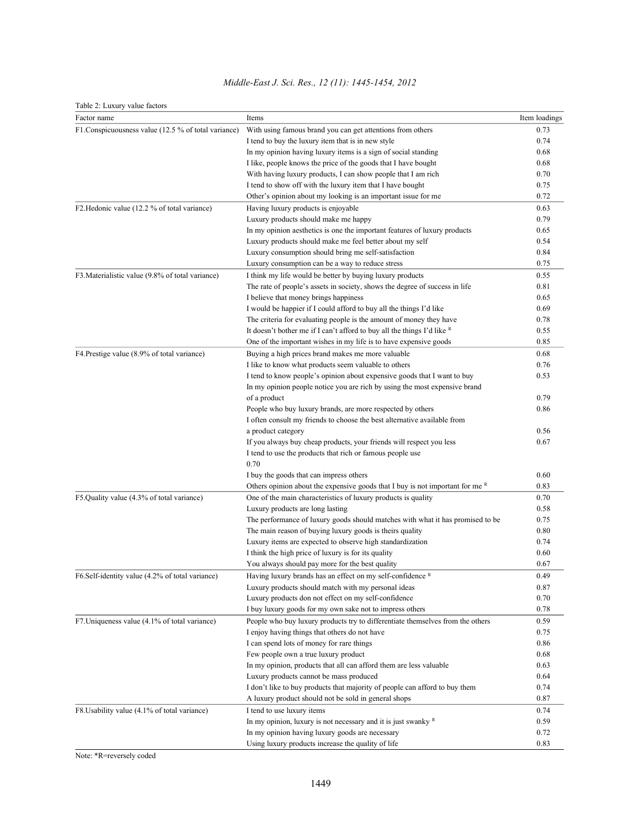| Table 2: Luxury value factors                       |                                                                                 |               |
|-----------------------------------------------------|---------------------------------------------------------------------------------|---------------|
| Factor name                                         | Items                                                                           | Item loadings |
| F1.Conspicuousness value (12.5 % of total variance) | With using famous brand you can get attentions from others                      | 0.73          |
|                                                     | I tend to buy the luxury item that is in new style                              | 0.74          |
|                                                     | In my opinion having luxury items is a sign of social standing                  | 0.68          |
|                                                     | I like, people knows the price of the goods that I have bought                  | 0.68          |
|                                                     | With having luxury products, I can show people that I am rich                   | 0.70          |
|                                                     | I tend to show off with the luxury item that I have bought                      | 0.75          |
|                                                     | Other's opinion about my looking is an important issue for me                   | 0.72          |
| F2. Hedonic value (12.2 % of total variance)        | Having luxury products is enjoyable                                             | 0.63          |
|                                                     | Luxury products should make me happy                                            | 0.79          |
|                                                     | In my opinion aesthetics is one the important features of luxury products       | 0.65          |
|                                                     | Luxury products should make me feel better about my self                        | 0.54          |
|                                                     | Luxury consumption should bring me self-satisfaction                            | 0.84          |
|                                                     | Luxury consumption can be a way to reduce stress                                | 0.75          |
| F3. Materialistic value (9.8% of total variance)    | I think my life would be better by buying luxury products                       | 0.55          |
|                                                     | The rate of people's assets in society, shows the degree of success in life     | 0.81          |
|                                                     | I believe that money brings happiness                                           | 0.65          |
|                                                     | I would be happier if I could afford to buy all the things I'd like             | 0.69          |
|                                                     | The criteria for evaluating people is the amount of money they have             | 0.78          |
|                                                     | It doesn't bother me if I can't afford to buy all the things I'd like R         | 0.55          |
|                                                     | One of the important wishes in my life is to have expensive goods               | 0.85          |
| F4. Prestige value (8.9% of total variance)         | Buying a high prices brand makes me more valuable                               | 0.68          |
|                                                     | I like to know what products seem valuable to others                            | 0.76          |
|                                                     | I tend to know people's opinion about expensive goods that I want to buy        | 0.53          |
|                                                     | In my opinion people notice you are rich by using the most expensive brand      |               |
|                                                     | of a product                                                                    | 0.79          |
|                                                     | People who buy luxury brands, are more respected by others                      | 0.86          |
|                                                     | I often consult my friends to choose the best alternative available from        |               |
|                                                     | a product category                                                              | 0.56          |
|                                                     | If you always buy cheap products, your friends will respect you less            | 0.67          |
|                                                     | I tend to use the products that rich or famous people use                       |               |
|                                                     | 0.70                                                                            |               |
|                                                     | I buy the goods that can impress others                                         | 0.60          |
|                                                     | Others opinion about the expensive goods that I buy is not important for me $R$ | 0.83          |
| F5.Quality value (4.3% of total variance)           | One of the main characteristics of luxury products is quality                   | 0.70          |
|                                                     | Luxury products are long lasting                                                | 0.58          |
|                                                     | The performance of luxury goods should matches with what it has promised to be  | 0.75          |
|                                                     | The main reason of buying luxury goods is theirs quality                        | 0.80          |
|                                                     | Luxury items are expected to observe high standardization                       | 0.74          |
|                                                     | I think the high price of luxury is for its quality                             | 0.60          |
|                                                     | You always should pay more for the best quality                                 | 0.67          |
| F6.Self-identity value (4.2% of total variance)     | Having luxury brands has an effect on my self-confidence $R$                    | 0.49          |
|                                                     | Luxury products should match with my personal ideas                             | 0.87          |
|                                                     | Luxury products don not effect on my self-confidence                            | 0.70          |
|                                                     | I buy luxury goods for my own sake not to impress others                        | 0.78          |
| F7. Uniqueness value (4.1% of total variance)       | People who buy luxury products try to differentiate themselves from the others  | 0.59          |
|                                                     | I enjoy having things that others do not have                                   | 0.75          |
|                                                     | I can spend lots of money for rare things                                       | 0.86          |
|                                                     | Few people own a true luxury product                                            | 0.68          |
|                                                     | In my opinion, products that all can afford them are less valuable              | 0.63          |
|                                                     | Luxury products cannot be mass produced                                         | 0.64          |
|                                                     | I don't like to buy products that majority of people can afford to buy them     | 0.74          |
|                                                     | A luxury product should not be sold in general shops                            | 0.87          |
| F8.Usability value (4.1% of total variance)         | I tend to use luxury items                                                      | 0.74          |
|                                                     | In my opinion, luxury is not necessary and it is just swanky $R$                | 0.59          |
|                                                     | In my opinion having luxury goods are necessary                                 | 0.72          |
|                                                     | Using luxury products increase the quality of life                              | 0.83          |

## *Middle-East J. Sci. Res., 12 (11): 1445-1454, 2012*

Note: \*R=reversely coded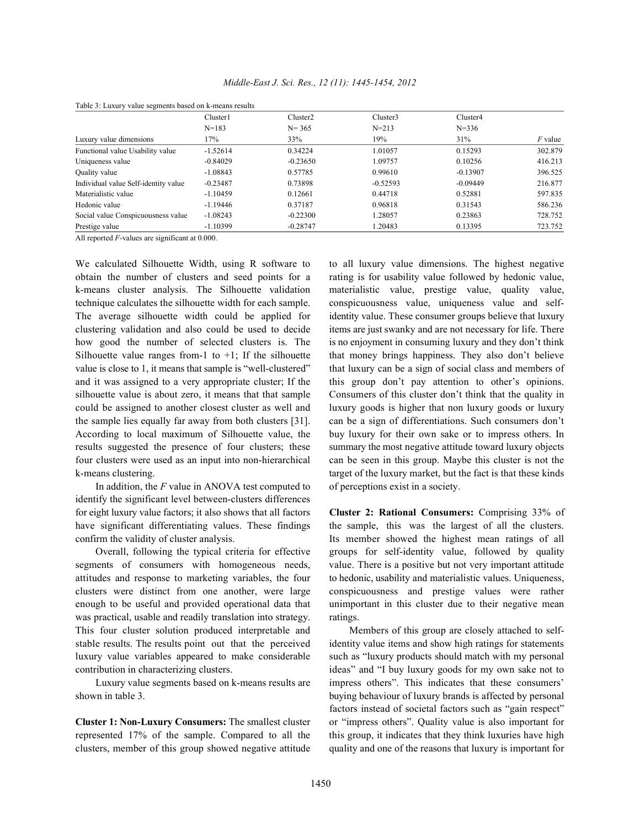| Table 3: Luxury value segments based on k-means results |                       |                      |            |            |           |  |  |  |
|---------------------------------------------------------|-----------------------|----------------------|------------|------------|-----------|--|--|--|
|                                                         | Cluster1<br>$N = 183$ | Cluster <sub>2</sub> | Cluster3   | Cluster4   |           |  |  |  |
|                                                         |                       | $N = 365$            | $N = 213$  | $N = 336$  |           |  |  |  |
| Luxury value dimensions                                 | 17%                   | 33%                  | 19%        | 31%        | $F$ value |  |  |  |
| Functional value Usability value                        | $-1.52614$            | 0.34224              | 1.01057    | 0.15293    | 302.879   |  |  |  |
| Uniqueness value                                        | $-0.84029$            | $-0.23650$           | 1.09757    | 0.10256    | 416.213   |  |  |  |
| Quality value                                           | $-1.08843$            | 0.57785              | 0.99610    | $-0.13907$ | 396.525   |  |  |  |
| Individual value Self-identity value                    | $-0.23487$            | 0.73898              | $-0.52593$ | $-0.09449$ | 216.877   |  |  |  |
| Materialistic value                                     | $-1.10459$            | 0.12661              | 0.44718    | 0.52881    | 597.835   |  |  |  |
| Hedonic value                                           | $-1.19446$            | 0.37187              | 0.96818    | 0.31543    | 586.236   |  |  |  |
| Social value Conspicuousness value                      | $-1.08243$            | $-0.22300$           | 1.28057    | 0.23863    | 728.752   |  |  |  |
| Prestige value                                          | $-1.10399$            | $-0.28747$           | 1.20483    | 0.13395    | 723.752   |  |  |  |

*Middle-East J. Sci. Res., 12 (11): 1445-1454, 2012*

Table 3: Luxury value segments based on k-means results

All reported *F*-values are significant at 0.000.

obtain the number of clusters and seed points for a rating is for usability value followed by hedonic value, k-means cluster analysis. The Silhouette validation materialistic value, prestige value, quality value, technique calculates the silhouette width for each sample. conspicuousness value, uniqueness value and self-The average silhouette width could be applied for identity value. These consumer groups believe that luxury clustering validation and also could be used to decide items are just swanky and are not necessary for life. There how good the number of selected clusters is. The is no enjoyment in consuming luxury and they don't think Silhouette value ranges from-1 to  $+1$ ; If the silhouette that money brings happiness. They also don't believe value is close to 1, it means that sample is "well-clustered" that luxury can be a sign of social class and members of and it was assigned to a very appropriate cluster; If the this group don't pay attention to other's opinions. silhouette value is about zero, it means that that sample Consumers of this cluster don't think that the quality in could be assigned to another closest cluster as well and luxury goods is higher that non luxury goods or luxury the sample lies equally far away from both clusters [31]. can be a sign of differentiations. Such consumers don't According to local maximum of Silhouette value, the buy luxury for their own sake or to impress others. In results suggested the presence of four clusters; these summary the most negative attitude toward luxury objects four clusters were used as an input into non-hierarchical can be seen in this group. Maybe this cluster is not the k-means clustering. target of the luxury market, but the fact is that these kinds

In addition, the *F* value in ANOVA test computed to of perceptions exist in a society. identify the significant level between-clusters differences for eight luxury value factors; it also shows that all factors **Cluster 2: Rational Consumers:** Comprising 33% of have significant differentiating values. These findings the sample, this was the largest of all the clusters. confirm the validity of cluster analysis. Its member showed the highest mean ratings of all

segments of consumers with homogeneous needs, value. There is a positive but not very important attitude attitudes and response to marketing variables, the four to hedonic, usability and materialistic values. Uniqueness, clusters were distinct from one another, were large conspicuousness and prestige values were rather enough to be useful and provided operational data that unimportant in this cluster due to their negative mean was practical, usable and readily translation into strategy. ratings. This four cluster solution produced interpretable and Members of this group are closely attached to selfstable results. The results point out that the perceived identity value items and show high ratings for statements luxury value variables appeared to make considerable such as "luxury products should match with my personal contribution in characterizing clusters. in the same ideas" and "I buy luxury goods for my own sake not to

shown in table 3. buying behaviour of luxury brands is affected by personal

represented 17% of the sample. Compared to all the this group, it indicates that they think luxuries have high clusters, member of this group showed negative attitude quality and one of the reasons that luxury is important for

We calculated Silhouette Width, using R software to to all luxury value dimensions. The highest negative

Overall, following the typical criteria for effective groups for self-identity value, followed by quality

Luxury value segments based on k-means results are impress others". This indicates that these consumers' **Cluster 1: Non-Luxury Consumers:** The smallest cluster or "impress others". Quality value is also important for factors instead of societal factors such as "gain respect"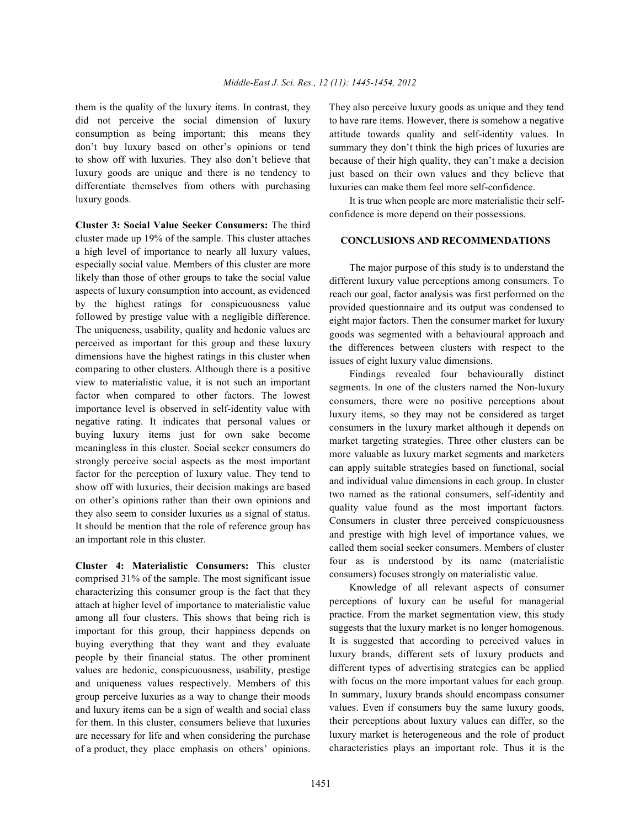did not perceive the social dimension of luxury consumption as being important; this means they don't buy luxury based on other's opinions or tend to show off with luxuries. They also don't believe that luxury goods are unique and there is no tendency to differentiate themselves from others with purchasing luxury goods.

**Cluster 3: Social Value Seeker Consumers:** The third cluster made up 19% of the sample. This cluster attaches a high level of importance to nearly all luxury values, especially social value. Members of this cluster are more likely than those of other groups to take the social value aspects of luxury consumption into account, as evidenced by the highest ratings for conspicuousness value followed by prestige value with a negligible difference. The uniqueness, usability, quality and hedonic values are perceived as important for this group and these luxury dimensions have the highest ratings in this cluster when comparing to other clusters. Although there is a positive view to materialistic value, it is not such an important factor when compared to other factors. The lowest importance level is observed in self-identity value with negative rating. It indicates that personal values or buying luxury items just for own sake become meaningless in this cluster. Social seeker consumers do strongly perceive social aspects as the most important factor for the perception of luxury value. They tend to show off with luxuries, their decision makings are based on other's opinions rather than their own opinions and they also seem to consider luxuries as a signal of status. It should be mention that the role of reference group has an important role in this cluster.

**Cluster 4: Materialistic Consumers:** This cluster comprised 31% of the sample. The most significant issue characterizing this consumer group is the fact that they attach at higher level of importance to materialistic value among all four clusters. This shows that being rich is important for this group, their happiness depends on buying everything that they want and they evaluate people by their financial status. The other prominent values are hedonic, conspicuousness, usability, prestige and uniqueness values respectively. Members of this group perceive luxuries as a way to change their moods and luxury items can be a sign of wealth and social class for them. In this cluster, consumers believe that luxuries are necessary for life and when considering the purchase of a product, they place emphasis on others' opinions.

them is the quality of the luxury items. In contrast, they They also perceive luxury goods as unique and they tend to have rare items. However, there is somehow a negative attitude towards quality and self-identity values. In summary they don't think the high prices of luxuries are because of their high quality, they can't make a decision just based on their own values and they believe that luxuries can make them feel more self-confidence.

> It is true when people are more materialistic their selfconfidence is more depend on their possessions.

### **CONCLUSIONS AND RECOMMENDATIONS**

The major purpose of this study is to understand the different luxury value perceptions among consumers. To reach our goal, factor analysis was first performed on the provided questionnaire and its output was condensed to eight major factors. Then the consumer market for luxury goods was segmented with a behavioural approach and the differences between clusters with respect to the issues of eight luxury value dimensions.

Findings revealed four behaviourally distinct segments. In one of the clusters named the Non-luxury consumers, there were no positive perceptions about luxury items, so they may not be considered as target consumers in the luxury market although it depends on market targeting strategies. Three other clusters can be more valuable as luxury market segments and marketers can apply suitable strategies based on functional, social and individual value dimensions in each group. In cluster two named as the rational consumers, self-identity and quality value found as the most important factors. Consumers in cluster three perceived conspicuousness and prestige with high level of importance values, we called them social seeker consumers. Members of cluster four as is understood by its name (materialistic consumers) focuses strongly on materialistic value.

Knowledge of all relevant aspects of consumer perceptions of luxury can be useful for managerial practice. From the market segmentation view, this study suggests that the luxury market is no longer homogenous. It is suggested that according to perceived values in luxury brands, different sets of luxury products and different types of advertising strategies can be applied with focus on the more important values for each group. In summary, luxury brands should encompass consumer values. Even if consumers buy the same luxury goods, their perceptions about luxury values can differ, so the luxury market is heterogeneous and the role of product characteristics plays an important role. Thus it is the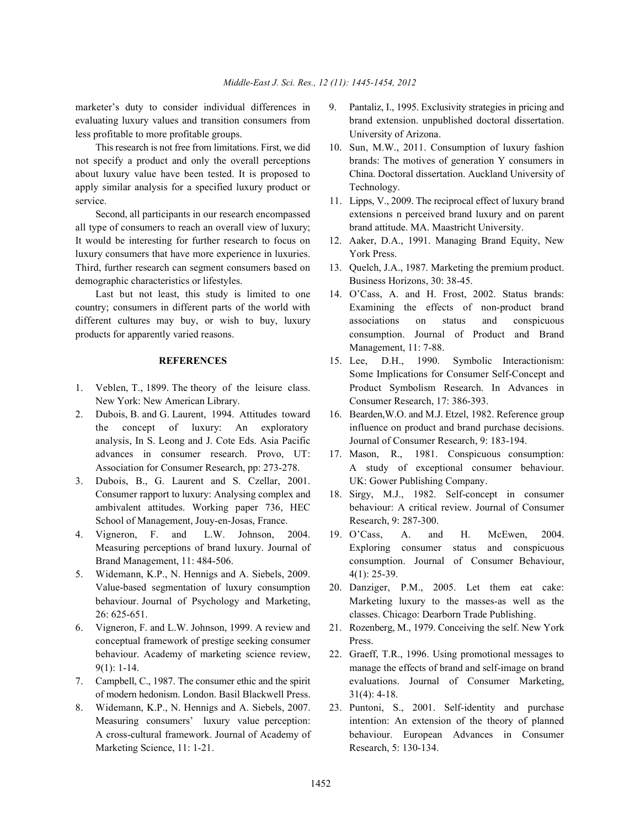less profitable to more profitable groups. University of Arizona.

not specify a product and only the overall perceptions brands: The motives of generation Y consumers in about luxury value have been tested. It is proposed to China. Doctoral dissertation. Auckland University of apply similar analysis for a specified luxury product or Technology. service. 11. Lipps, V., 2009. The reciprocal effect of luxury brand

all type of consumers to reach an overall view of luxury; brand attitude. MA. Maastricht University. It would be interesting for further research to focus on 12. Aaker, D.A., 1991. Managing Brand Equity, New luxury consumers that have more experience in luxuries. York Press. Third, further research can segment consumers based on 13. Quelch, J.A., 1987. Marketing the premium product. demographic characteristics or lifestyles. Business Horizons, 30: 38-45.

Last but not least, this study is limited to one 14. O'Cass, A. and H. Frost, 2002. Status brands: country; consumers in different parts of the world with Examining the effects of non-product brand different cultures may buy, or wish to buy, luxury associations on status and conspicuous products for apparently varied reasons. consumption. Journal of Product and Brand

- New York: New American Library. Consumer Research, 17: 386-393.
- analysis, In S. Leong and J. Cote Eds. Asia Pacific Journal of Consumer Research, 9: 183-194. advances in consumer research. Provo, UT: 17. Mason, R., 1981. Conspicuous consumption:
- 3. Dubois, B., G. Laurent and S. Czellar, 2001. UK: Gower Publishing Company. Consumer rapport to luxury: Analysing complex and 18. Sirgy, M.J., 1982. Self-concept in consumer School of Management, Jouy-en-Josas, France. Research, 9: 287-300.
- 
- 5. Widemann, K.P., N. Hennigs and A. Siebels, 2009. 4(1): 25-39. Value-based segmentation of luxury consumption 20. Danziger, P.M., 2005. Let them eat cake: 26: 625-651. classes. Chicago: Dearborn Trade Publishing.
- 6. Vigneron, F. and L.W. Johnson, 1999. A review and 21. Rozenberg, M., 1979. Conceiving the self. New York conceptual framework of prestige seeking consumer Press. behaviour. Academy of marketing science review, 22. Graeff, T.R., 1996. Using promotional messages to
- of modern hedonism. London. Basil Blackwell Press. 31(4): 4-18.
- 8. Widemann, K.P., N. Hennigs and A. Siebels, 2007. 23. Puntoni, S., 2001. Self-identity and purchase Marketing Science, 11: 1-21. Research, 5: 130-134.
- marketer's duty to consider individual differences in 9. Pantaliz, I., 1995. Exclusivity strategies in pricing and evaluating luxury values and transition consumers from brand extension. unpublished doctoral dissertation.
	- This research is not free from limitations. First, we did 10. Sun, M.W., 2011. Consumption of luxury fashion
	- Second, all participants in our research encompassed extensions n perceived brand luxury and on parent
		-
		-
		- Management, 11: 7-88.
- **REFERENCES** 15. Lee, D.H., 1990. Symbolic Interactionism: 1. Veblen, T., 1899. The theory of the leisure class. Product Symbolism Research. In Advances in Some Implications for Consumer Self-Concept and
- 2. Dubois, B. and G. Laurent, 1994. Attitudes toward 16. Bearden,W.O. and M.J. Etzel, 1982. Reference group the concept of luxury: An exploratory influence on product and brand purchase decisions.
	- Association for Consumer Research, pp: 273-278. A study of exceptional consumer behaviour.
	- ambivalent attitudes. Working paper 736, HEC behaviour: A critical review. Journal of Consumer
- 4. Vigneron, F. and L.W. Johnson, 2004. 19. O'Cass, A. and H. McEwen, 2004. Measuring perceptions of brand luxury. Journal of Exploring consumer status and conspicuous Brand Management, 11: 484-506. consumption. Journal of Consumer Behaviour,
	- behaviour. Journal of Psychology and Marketing, Marketing luxury to the masses-as well as the
		-
- 9(1): 1-14. manage the effects of brand and self-image on brand 7. Campbell, C., 1987. The consumer ethic and the spirit evaluations. Journal of Consumer Marketing,
	- Measuring consumers' luxury value perception: intention: An extension of the theory of planned A cross-cultural framework. Journal of Academy of behaviour. European Advances in Consumer